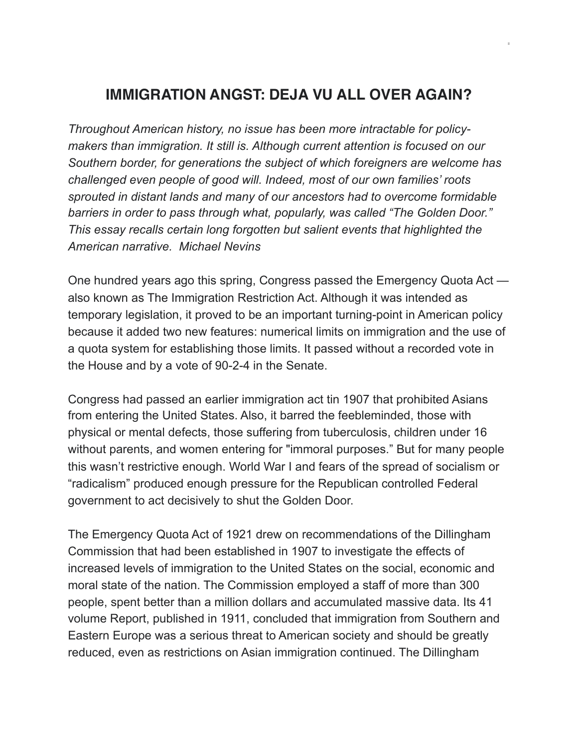## **IMMIGRATION ANGST: DEJA VU ALL OVER AGAIN?**

*Throughout American history, no issue has been more intractable for policymakers than immigration. It still is. Although current attention is focused on our Southern border, for generations the subject of which foreigners are welcome has challenged even people of good will. Indeed, most of our own families' roots sprouted in distant lands and many of our ancestors had to overcome formidable barriers in order to pass through what, popularly, was called "The Golden Door." This essay recalls certain long forgotten but salient events that highlighted the American narrative. Michael Nevins* 

One hundred years ago this spring, Congress passed the Emergency Quota Act also known as The Immigration Restriction Act. Although it was intended as temporary legislation, it proved to be an important turning-point in American policy because it added two new features: numerical limits on immigration and the use of a quota system for establishing those limits. It passed without a recorded vote in the House and by a vote of 90-2-4 in the Senate.

Congress had passed an earlier immigration act tin 1907 that prohibited Asians from entering the United States. Also, it barred the feebleminded, those with physical or mental defects, those suffering from tuberculosis, children under 16 without parents, and women entering for "immoral purposes." But for many people this wasn't restrictive enough. World War I and fears of the spread of socialism or "radicalism" produced enough pressure for the Republican controlled Federal government to act decisively to shut the Golden Door.

The Emergency Quota Act of 1921 drew on recommendations of the Dillingham Commission that had been established in 1907 to investigate the effects of increased levels of immigration to the United States on the social, economic and moral state of the nation. The Commission employed a staff of more than 300 people, spent better than a million dollars and accumulated massive data. Its 41 volume Report, published in 1911, concluded that immigration from Southern and Eastern Europe was a serious threat to American society and should be greatly reduced, even as restrictions on Asian immigration continued. The Dillingham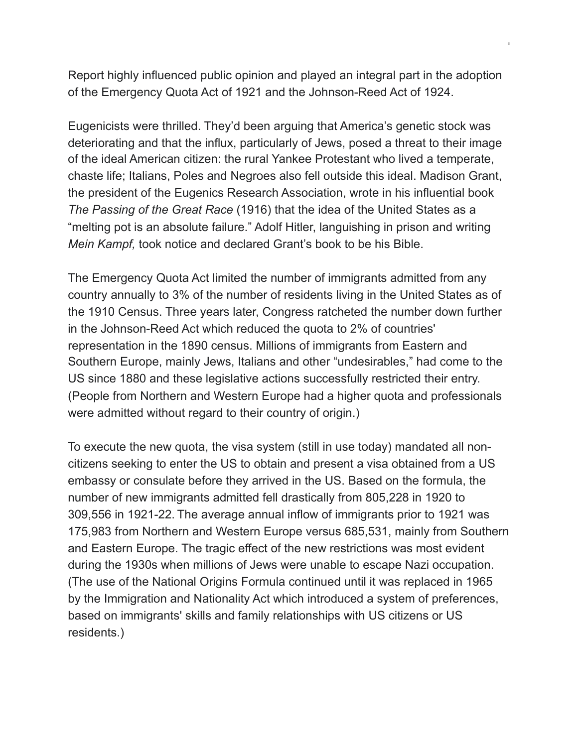Report highly influenced public opinion and played an integral part in the adoption of the Emergency Quota Act of 1921 and the Johnson-Reed Act of 1924.

Eugenicists were thrilled. They'd been arguing that America's genetic stock was deteriorating and that the influx, particularly of Jews, posed a threat to their image of the ideal American citizen: the rural Yankee Protestant who lived a temperate, chaste life; Italians, Poles and Negroes also fell outside this ideal. Madison Grant, the president of the Eugenics Research Association, wrote in his influential book *The Passing of the Great Race* (1916) that the idea of the United States as a "melting pot is an absolute failure." Adolf Hitler, languishing in prison and writing *Mein Kampf,* took notice and declared Grant's book to be his Bible.

The Emergency Quota Act limited the number of immigrants admitted from any country annually to 3% of the number of residents living in the United States as of the 1910 Census. Three years later, Congress ratcheted the number down further in the Johnson-Reed Act which reduced the quota to 2% of countries' representation in the 1890 census. Millions of immigrants from Eastern and Southern Europe, mainly Jews, Italians and other "undesirables," had come to the US since 1880 and these legislative actions successfully restricted their entry. (People from Northern and Western Europe had a higher quota and professionals were admitted without regard to their country of origin.)

To execute the new quota, the visa system (still in use today) mandated all noncitizens seeking to enter the US to obtain and present a visa obtained from a US embassy or consulate before they arrived in the US. Based on the formula, the number of new immigrants admitted fell drastically from 805,228 in 1920 to 309,556 in 1921-22. The average annual inflow of immigrants prior to 1921 was 175,983 from Northern and Western Europe versus 685,531, mainly from Southern and Eastern Europe. The tragic effect of the new restrictions was most evident during the 1930s when millions of Jews were unable to escape Nazi occupation. (The use of the National Origins Formula continued until it was replaced in 1965 by the Immigration and Nationality Act which introduced a system of preferences, based on immigrants' skills and family relationships with US citizens or US residents.)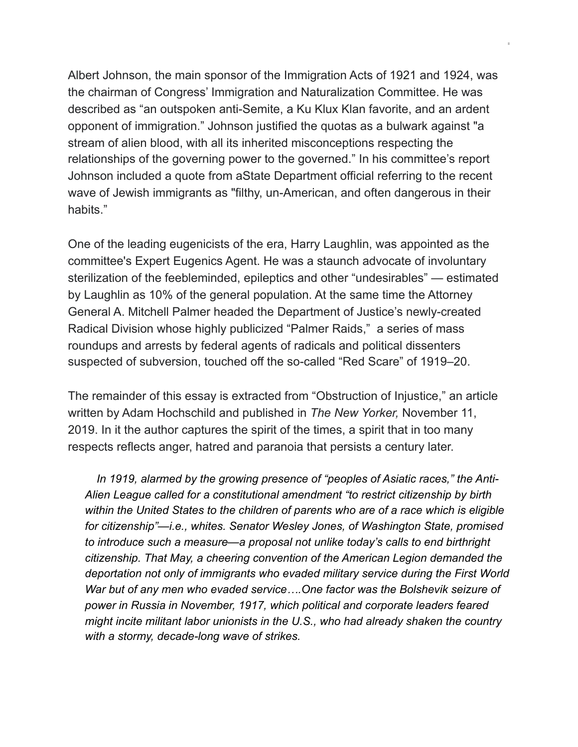Albert Johnson, the main sponsor of the Immigration Acts of 1921 and 1924, was the chairman of Congress' Immigration and Naturalization Committee. He was described as "an outspoken anti-Semite, a Ku Klux Klan favorite, and an ardent opponent of immigration." Johnson justified the quotas as a bulwark against "a stream of alien blood, with all its inherited misconceptions respecting the relationships of the governing power to the governed." In his committee's report Johnson included a quote from aState Department official referring to the recent wave of Jewish immigrants as "filthy, un-American, and often dangerous in their habits."

One of the leading eugenicists of the era, Harry Laughlin, was appointed as the committee's Expert Eugenics Agent. He was a staunch advocate of involuntary sterilization of the feebleminded, epileptics and other "undesirables" — estimated by Laughlin as 10% of the general population. At the same time the Attorney General A. Mitchell Palmer headed the Department of Justice's newly-created Radical Division whose highly publicized "Palmer Raids," a series of mass roundups and arrests by federal agents of radicals and political dissenters suspected of subversion, touched off the so-called "Red Scare" of 1919–20.

The remainder of this essay is extracted from "Obstruction of Injustice," an article written by Adam Hochschild and published in *The New Yorker,* November 11, 2019. In it the author captures the spirit of the times, a spirit that in too many respects reflects anger, hatred and paranoia that persists a century later.

 *In 1919, alarmed by the growing presence of "peoples of Asiatic races," the Anti-Alien League called for a constitutional amendment "to restrict citizenship by birth within the United States to the children of parents who are of a race which is eligible for citizenship"—i.e., whites. Senator Wesley Jones, of Washington State, promised to introduce such a measure—a proposal not unlike today's calls to end birthright citizenship. That May, a cheering convention of the American Legion demanded the deportation not only of immigrants who evaded military service during the First World War but of any men who evaded service….One factor was the Bolshevik seizure of power in Russia in November, 1917, which political and corporate leaders feared might incite militant labor unionists in the U.S., who had already shaken the country with a stormy, decade-long wave of strikes.*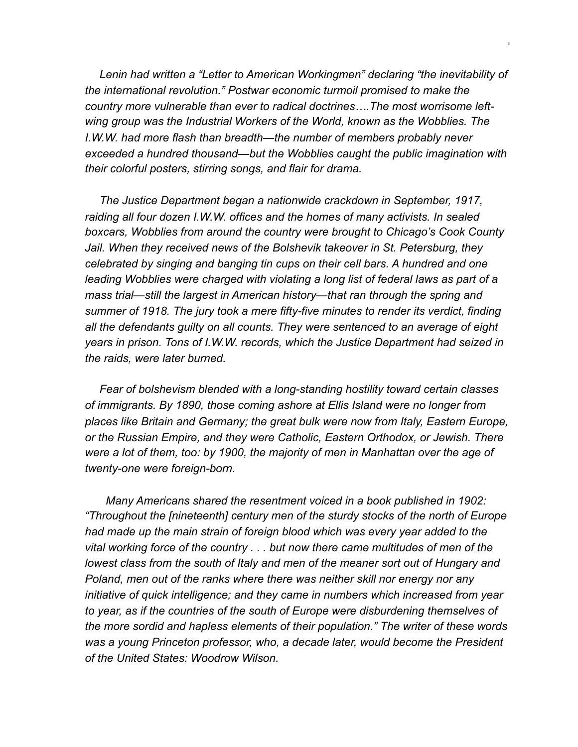*Lenin had written a "Letter to American Workingmen" declaring "the inevitability of the international revolution." Postwar economic turmoil promised to make the country more vulnerable than ever to radical doctrines….The most worrisome leftwing group was the Industrial Workers of the World, known as the Wobblies. The I.W.W. had more flash than breadth—the number of members probably never exceeded a hundred thousand—but the Wobblies caught the public imagination with their colorful posters, stirring songs, and flair for drama.*

 *The Justice Department began a nationwide crackdown in September, 1917, raiding all four dozen I.W.W. offices and the homes of many activists. In sealed boxcars, Wobblies from around the country were brought to Chicago's Cook County*  Jail. When they received news of the Bolshevik takeover in St. Petersburg, they *celebrated by singing and banging tin cups on their cell bars. A hundred and one leading Wobblies were charged with violating a long list of federal laws as part of a mass trial—still the largest in American history—that ran through the spring and summer of 1918. The jury took a mere fifty-five minutes to render its verdict, finding all the defendants guilty on all counts. They were sentenced to an average of eight years in prison. Tons of I.W.W. records, which the Justice Department had seized in the raids, were later burned.* 

 *Fear of bolshevism blended with a long-standing hostility toward certain classes of immigrants. By 1890, those coming ashore at Ellis Island were no longer from places like Britain and Germany; the great bulk were now from Italy, Eastern Europe, or the Russian Empire, and they were Catholic, Eastern Orthodox, or Jewish. There were a lot of them, too: by 1900, the majority of men in Manhattan over the age of twenty-one were foreign-born.*

 *Many Americans shared the resentment voiced in a book published in 1902: "Throughout the [nineteenth] century men of the sturdy stocks of the north of Europe had made up the main strain of foreign blood which was every year added to the vital working force of the country . . . but now there came multitudes of men of the lowest class from the south of Italy and men of the meaner sort out of Hungary and Poland, men out of the ranks where there was neither skill nor energy nor any initiative of quick intelligence; and they came in numbers which increased from year to year, as if the countries of the south of Europe were disburdening themselves of the more sordid and hapless elements of their population." The writer of these words was a young Princeton professor, who, a decade later, would become the President of the United States: Woodrow Wilson.*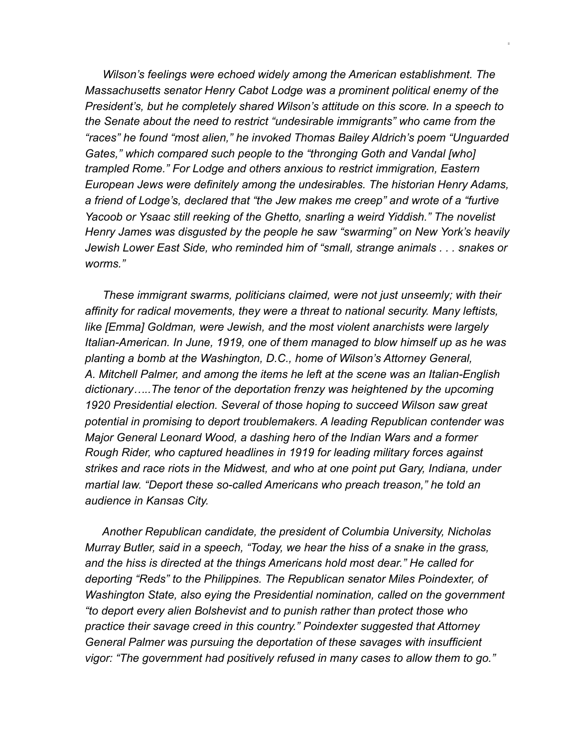*Wilson's feelings were echoed widely among the American establishment. The Massachusetts senator Henry Cabot Lodge was a prominent political enemy of the President's, but he completely shared Wilson's attitude on this score. In a speech to the Senate about the need to restrict "undesirable immigrants" who came from the "races" he found "most alien," he invoked Thomas Bailey Aldrich's poem "Unguarded Gates," which compared such people to the "thronging Goth and Vandal [who] trampled Rome." For Lodge and others anxious to restrict immigration, Eastern European Jews were definitely among the undesirables. The historian Henry Adams, a friend of Lodge's, declared that "the Jew makes me creep" and wrote of a "furtive Yacoob or Ysaac still reeking of the Ghetto, snarling a weird Yiddish." The novelist Henry James was disgusted by the people he saw "swarming" on New York's heavily Jewish Lower East Side, who reminded him of "small, strange animals . . . snakes or worms."* 

 *These immigrant swarms, politicians claimed, were not just unseemly; with their affinity for radical movements, they were a threat to national security. Many leftists, like [Emma] Goldman, were Jewish, and the most violent anarchists were largely Italian-American. In June, 1919, one of them managed to blow himself up as he was planting a bomb at the Washington, D.C., home of Wilson's Attorney General, A. Mitchell Palmer, and among the items he left at the scene was an Italian-English dictionary…..The tenor of the deportation frenzy was heightened by the upcoming 1920 Presidential election. Several of those hoping to succeed Wilson saw great potential in promising to deport troublemakers. A leading Republican contender was Major General Leonard Wood, a dashing hero of the Indian Wars and a former Rough Rider, who captured headlines in 1919 for leading military forces against strikes and race riots in the Midwest, and who at one point put Gary, Indiana, under martial law. "Deport these so-called Americans who preach treason," he told an audience in Kansas City.*

 *Another Republican candidate, the president of Columbia University, Nicholas Murray Butler, said in a speech, "Today, we hear the hiss of a snake in the grass, and the hiss is directed at the things Americans hold most dear." He called for deporting "Reds" to the Philippines. The Republican senator Miles Poindexter, of Washington State, also eying the Presidential nomination, called on the government "to deport every alien Bolshevist and to punish rather than protect those who practice their savage creed in this country." Poindexter suggested that Attorney General Palmer was pursuing the deportation of these savages with insufficient vigor: "The government had positively refused in many cases to allow them to go."*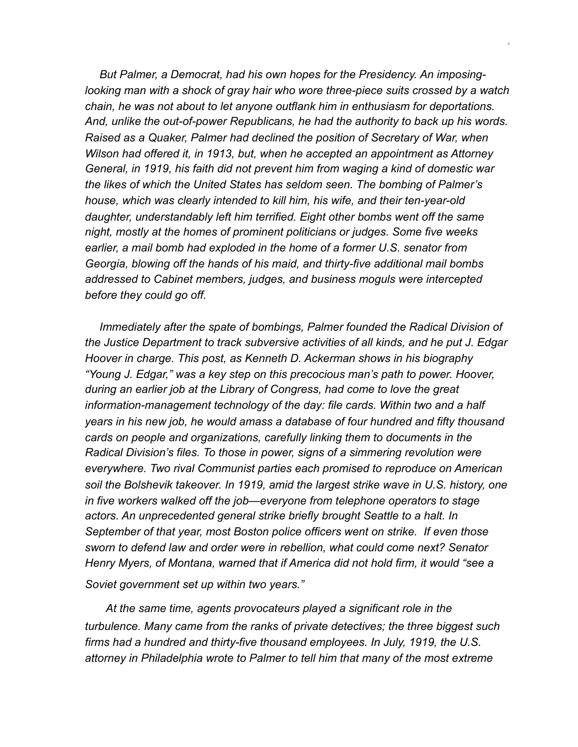*But Palmer, a Democrat, had his own hopes for the Presidency. An imposinglooking man with a shock of gray hair who wore three-piece suits crossed by a watch chain, he was not about to let anyone outflank him in enthusiasm for deportations. And, unlike the out-of-power Republicans, he had the authority to back up his words. Raised as a Quaker, Palmer had declined the position of Secretary of War, when Wilson had offered it, in 1913, but, when he accepted an appointment as Attorney General, in 1919, his faith did not prevent him from waging a kind of domestic war the likes of which the United States has seldom seen. The bombing of Palmer's house, which was clearly intended to kill him, his wife, and their ten-year-old daughter, understandably left him terrified. Eight other bombs went off the same night, mostly at the homes of prominent politicians or judges. Some five weeks earlier, a mail bomb had exploded in the home of a former U.S. senator from Georgia, blowing off the hands of his maid, and thirty-five additional mail bombs addressed to Cabinet members, judges, and business moguls were intercepted before they could go off.*

 *Immediately after the spate of bombings, Palmer founded the Radical Division of the Justice Department to track subversive activities of all kinds, and he put J. Edgar Hoover in charge. This post, as Kenneth D. Ackerman shows in his biography "Young J. Edgar," was a key step on this precocious man's path to power. Hoover, during an earlier job at the Library of Congress, had come to love the great information-management technology of the day: file cards. Within two and a half years in his new job, he would amass a database of four hundred and fifty thousand cards on people and organizations, carefully linking them to documents in the Radical Division's files. To those in power, signs of a simmering revolution were everywhere. Two rival Communist parties each promised to reproduce on American soil the Bolshevik takeover. In 1919, amid the largest strike wave in U.S. history, one in five workers walked off the job—everyone from telephone operators to stage actors. An unprecedented general strike briefly brought Seattle to a halt. In September of that year, most Boston police officers went on strike. If even those sworn to defend law and order were in rebellion, what could come next? Senator Henry Myers, of Montana, warned that if America did not hold firm, it would "see a* 

*Soviet government set up within two years."* 

 *At the same time, agents provocateurs played a significant role in the turbulence. Many came from the ranks of private detectives; the three biggest such firms had a hundred and thirty-five thousand employees. In July, 1919, the U.S. attorney in Philadelphia wrote to Palmer to tell him that many of the most extreme*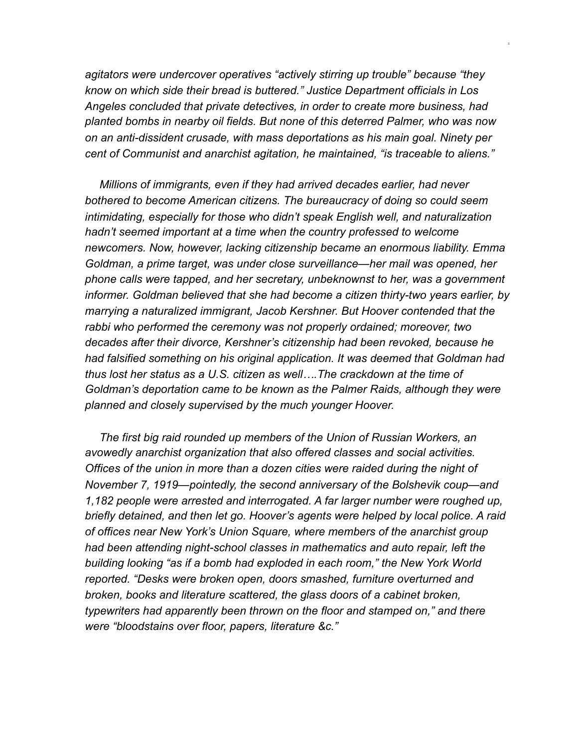*agitators were undercover operatives "actively stirring up trouble" because "they know on which side their bread is buttered." Justice Department officials in Los Angeles concluded that private detectives, in order to create more business, had planted bombs in nearby oil fields. But none of this deterred Palmer, who was now on an anti-dissident crusade, with mass deportations as his main goal. Ninety per cent of Communist and anarchist agitation, he maintained, "is traceable to aliens."*

 *Millions of immigrants, even if they had arrived decades earlier, had never bothered to become American citizens. The bureaucracy of doing so could seem intimidating, especially for those who didn't speak English well, and naturalization hadn't seemed important at a time when the country professed to welcome newcomers. Now, however, lacking citizenship became an enormous liability. Emma Goldman, a prime target, was under close surveillance—her mail was opened, her phone calls were tapped, and her secretary, unbeknownst to her, was a government informer. Goldman believed that she had become a citizen thirty-two years earlier, by marrying a naturalized immigrant, Jacob Kershner. But Hoover contended that the rabbi who performed the ceremony was not properly ordained; moreover, two decades after their divorce, Kershner's citizenship had been revoked, because he had falsified something on his original application. It was deemed that Goldman had thus lost her status as a U.S. citizen as well….The crackdown at the time of Goldman's deportation came to be known as the Palmer Raids, although they were planned and closely supervised by the much younger Hoover.* 

 *The first big raid rounded up members of the Union of Russian Workers, an avowedly anarchist organization that also offered classes and social activities. Offices of the union in more than a dozen cities were raided during the night of November 7, 1919—pointedly, the second anniversary of the Bolshevik coup—and 1,182 people were arrested and interrogated. A far larger number were roughed up, briefly detained, and then let go. Hoover's agents were helped by local police. A raid of offices near New York's Union Square, where members of the anarchist group had been attending night-school classes in mathematics and auto repair, left the building looking "as if a bomb had exploded in each room," the New York World reported. "Desks were broken open, doors smashed, furniture overturned and broken, books and literature scattered, the glass doors of a cabinet broken, typewriters had apparently been thrown on the floor and stamped on," and there were "bloodstains over floor, papers, literature &c."*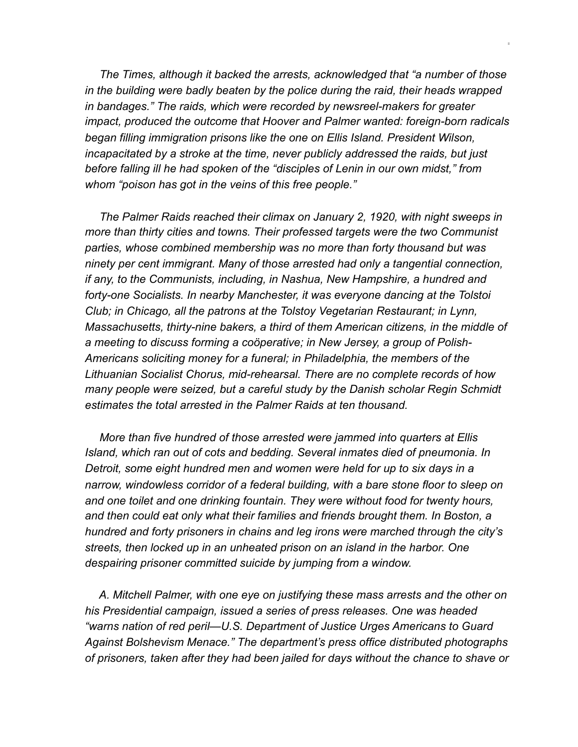*The Times, although it backed the arrests, acknowledged that "a number of those in the building were badly beaten by the police during the raid, their heads wrapped in bandages." The raids, which were recorded by newsreel-makers for greater impact, produced the outcome that Hoover and Palmer wanted: foreign-born radicals began filling immigration prisons like the one on Ellis Island. President Wilson, incapacitated by a stroke at the time, never publicly addressed the raids, but just before falling ill he had spoken of the "disciples of Lenin in our own midst," from whom "poison has got in the veins of this free people."*

 *The Palmer Raids reached their climax on January 2, 1920, with night sweeps in more than thirty cities and towns. Their professed targets were the two Communist parties, whose combined membership was no more than forty thousand but was ninety per cent immigrant. Many of those arrested had only a tangential connection, if any, to the Communists, including, in Nashua, New Hampshire, a hundred and forty-one Socialists. In nearby Manchester, it was everyone dancing at the Tolstoi Club; in Chicago, all the patrons at the Tolstoy Vegetarian Restaurant; in Lynn, Massachusetts, thirty-nine bakers, a third of them American citizens, in the middle of a meeting to discuss forming a coöperative; in New Jersey, a group of Polish-Americans soliciting money for a funeral; in Philadelphia, the members of the Lithuanian Socialist Chorus, mid-rehearsal. There are no complete records of how many people were seized, but a careful study by the Danish scholar Regin Schmidt estimates the total arrested in the Palmer Raids at ten thousand.*

 *More than five hundred of those arrested were jammed into quarters at Ellis Island, which ran out of cots and bedding. Several inmates died of pneumonia. In Detroit, some eight hundred men and women were held for up to six days in a narrow, windowless corridor of a federal building, with a bare stone floor to sleep on and one toilet and one drinking fountain. They were without food for twenty hours, and then could eat only what their families and friends brought them. In Boston, a hundred and forty prisoners in chains and leg irons were marched through the city's streets, then locked up in an unheated prison on an island in the harbor. One despairing prisoner committed suicide by jumping from a window.*

 *A. Mitchell Palmer, with one eye on justifying these mass arrests and the other on his Presidential campaign, issued a series of press releases. One was headed "warns nation of red peril—U.S. Department of Justice Urges Americans to Guard Against Bolshevism Menace." The department's press office distributed photographs of prisoners, taken after they had been jailed for days without the chance to shave or*